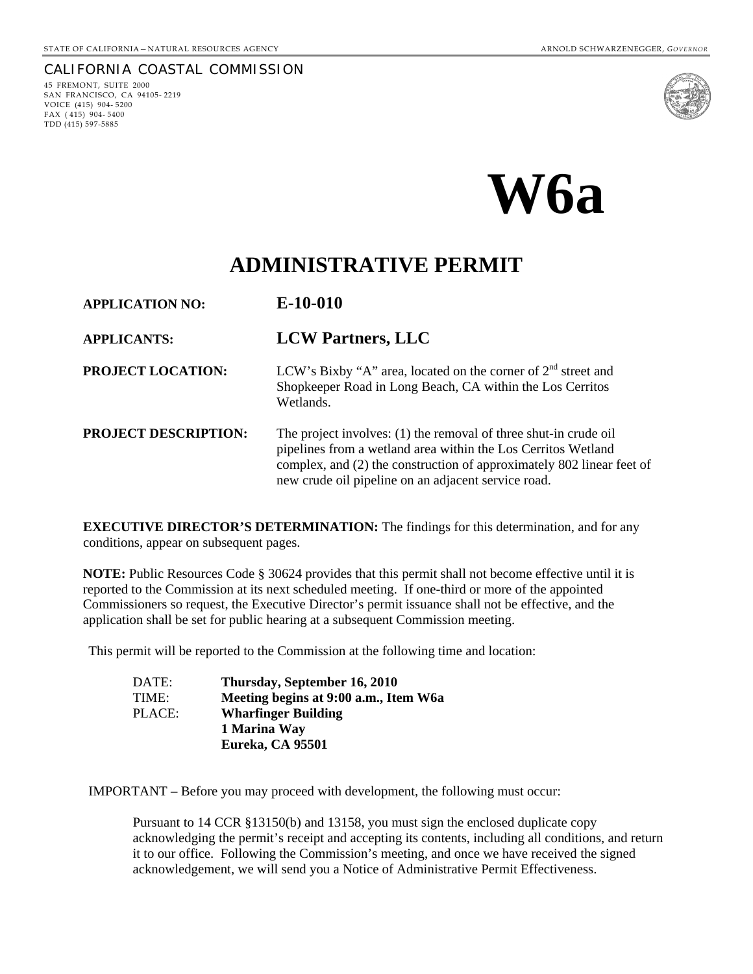CALIFORNIA COASTAL COMMISSION 45 FREMONT, SUITE 2000 SAN FRANCISCO, CA 94105- 2219 VOICE (415) 904- 5200  $FAX (415) 904 - 5400$ 

TDD (415) 597-5885





## **ADMINISTRATIVE PERMIT**

**APPLICATION NO: E-10-010 APPLICANTS: LCW Partners, LLC PROJECT LOCATION:** LCW's Bixby "A" area, located on the corner of  $2<sup>nd</sup>$  street and Shopkeeper Road in Long Beach, CA within the Los Cerritos Wetlands. **PROJECT DESCRIPTION:** The project involves: (1) the removal of three shut-in crude oil pipelines from a wetland area within the Los Cerritos Wetland complex, and (2) the construction of approximately 802 linear feet of new crude oil pipeline on an adjacent service road.

**EXECUTIVE DIRECTOR'S DETERMINATION:** The findings for this determination, and for any conditions, appear on subsequent pages.

**NOTE:** Public Resources Code § 30624 provides that this permit shall not become effective until it is reported to the Commission at its next scheduled meeting. If one-third or more of the appointed Commissioners so request, the Executive Director's permit issuance shall not be effective, and the application shall be set for public hearing at a subsequent Commission meeting.

This permit will be reported to the Commission at the following time and location:

| DATE:  | Thursday, September 16, 2010          |
|--------|---------------------------------------|
| TIME:  | Meeting begins at 9:00 a.m., Item W6a |
| PLACE: | <b>Wharfinger Building</b>            |
|        | 1 Marina Way                          |
|        | Eureka, CA 95501                      |

IMPORTANT – Before you may proceed with development, the following must occur:

Pursuant to 14 CCR §13150(b) and 13158, you must sign the enclosed duplicate copy acknowledging the permit's receipt and accepting its contents, including all conditions, and return it to our office. Following the Commission's meeting, and once we have received the signed acknowledgement, we will send you a Notice of Administrative Permit Effectiveness.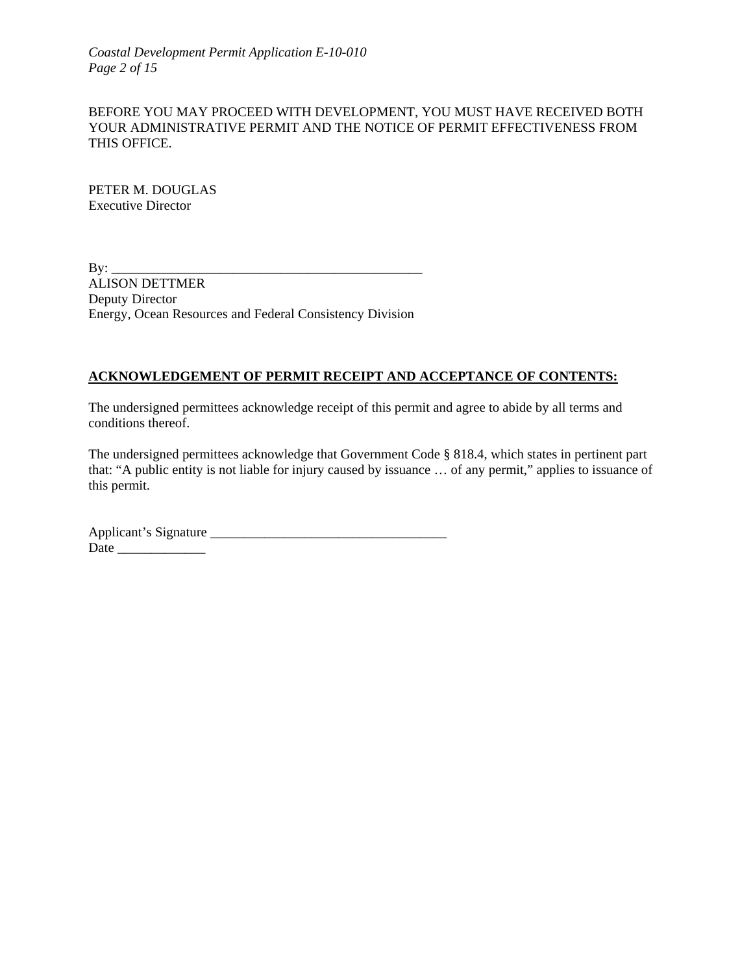*Coastal Development Permit Application E-10-010 Page 2 of 15*

#### BEFORE YOU MAY PROCEED WITH DEVELOPMENT, YOU MUST HAVE RECEIVED BOTH YOUR ADMINISTRATIVE PERMIT AND THE NOTICE OF PERMIT EFFECTIVENESS FROM THIS OFFICE.

PETER M. DOUGLAS Executive Director

By: \_\_\_\_\_\_\_\_\_\_\_\_\_\_\_\_\_\_\_\_\_\_\_\_\_\_\_\_\_\_\_\_\_\_\_\_\_\_\_\_\_\_\_\_\_\_ ALISON DETTMER Deputy Director Energy, Ocean Resources and Federal Consistency Division

#### **ACKNOWLEDGEMENT OF PERMIT RECEIPT AND ACCEPTANCE OF CONTENTS:**

The undersigned permittees acknowledge receipt of this permit and agree to abide by all terms and conditions thereof.

The undersigned permittees acknowledge that Government Code § 818.4, which states in pertinent part that: "A public entity is not liable for injury caused by issuance … of any permit," applies to issuance of this permit.

Applicant's Signature \_\_\_\_\_\_\_\_\_\_\_\_\_\_\_\_\_\_\_\_\_\_\_\_\_\_\_\_\_\_\_\_\_\_\_ Date \_\_\_\_\_\_\_\_\_\_\_\_\_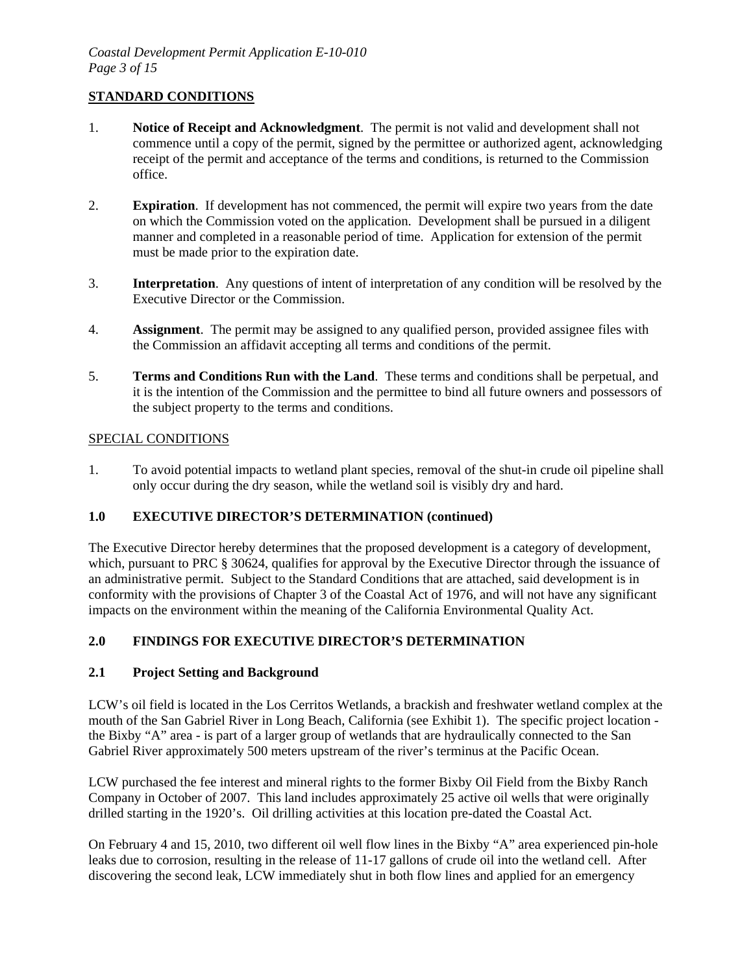## **STANDARD CONDITIONS**

- 1. **Notice of Receipt and Acknowledgment**. The permit is not valid and development shall not commence until a copy of the permit, signed by the permittee or authorized agent, acknowledging receipt of the permit and acceptance of the terms and conditions, is returned to the Commission office.
- 2. **Expiration**. If development has not commenced, the permit will expire two years from the date on which the Commission voted on the application. Development shall be pursued in a diligent manner and completed in a reasonable period of time. Application for extension of the permit must be made prior to the expiration date.
- 3. **Interpretation**. Any questions of intent of interpretation of any condition will be resolved by the Executive Director or the Commission.
- 4. **Assignment**. The permit may be assigned to any qualified person, provided assignee files with the Commission an affidavit accepting all terms and conditions of the permit.
- 5. **Terms and Conditions Run with the Land**. These terms and conditions shall be perpetual, and it is the intention of the Commission and the permittee to bind all future owners and possessors of the subject property to the terms and conditions.

#### SPECIAL CONDITIONS

1. To avoid potential impacts to wetland plant species, removal of the shut-in crude oil pipeline shall only occur during the dry season, while the wetland soil is visibly dry and hard.

## **1.0 EXECUTIVE DIRECTOR'S DETERMINATION (continued)**

The Executive Director hereby determines that the proposed development is a category of development, which, pursuant to PRC § 30624, qualifies for approval by the Executive Director through the issuance of an administrative permit. Subject to the Standard Conditions that are attached, said development is in conformity with the provisions of Chapter 3 of the Coastal Act of 1976, and will not have any significant impacts on the environment within the meaning of the California Environmental Quality Act.

## **2.0 FINDINGS FOR EXECUTIVE DIRECTOR'S DETERMINATION**

#### **2.1 Project Setting and Background**

LCW's oil field is located in the Los Cerritos Wetlands, a brackish and freshwater wetland complex at the mouth of the San Gabriel River in Long Beach, California (see Exhibit 1). The specific project location the Bixby "A" area - is part of a larger group of wetlands that are hydraulically connected to the San Gabriel River approximately 500 meters upstream of the river's terminus at the Pacific Ocean.

LCW purchased the fee interest and mineral rights to the former Bixby Oil Field from the Bixby Ranch Company in October of 2007. This land includes approximately 25 active oil wells that were originally drilled starting in the 1920's. Oil drilling activities at this location pre-dated the Coastal Act.

On February 4 and 15, 2010, two different oil well flow lines in the Bixby "A" area experienced pin-hole leaks due to corrosion, resulting in the release of 11-17 gallons of crude oil into the wetland cell. After discovering the second leak, LCW immediately shut in both flow lines and applied for an emergency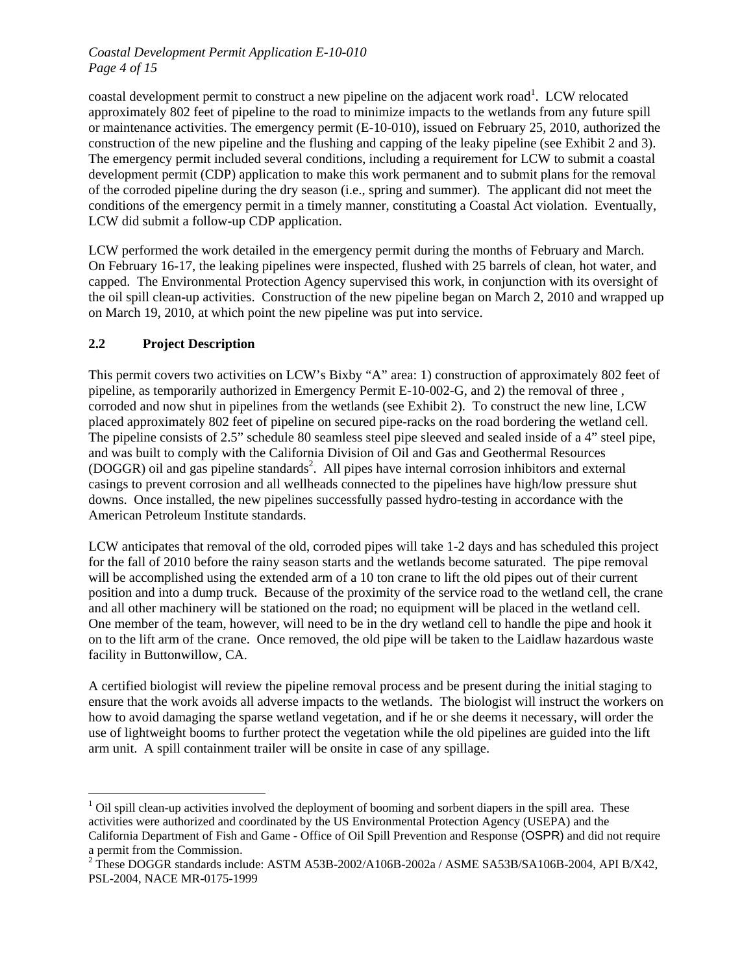#### *Coastal Development Permit Application E-10-010 Page 4 of 15*

coastal development permit to construct a new pipeline on the adjacent work road<sup>[1](#page-3-0)</sup>. LCW relocated approximately 802 feet of pipeline to the road to minimize impacts to the wetlands from any future spill or maintenance activities. The emergency permit (E-10-010), issued on February 25, 2010, authorized the construction of the new pipeline and the flushing and capping of the leaky pipeline (see Exhibit 2 and 3). The emergency permit included several conditions, including a requirement for LCW to submit a coastal development permit (CDP) application to make this work permanent and to submit plans for the removal of the corroded pipeline during the dry season (i.e., spring and summer). The applicant did not meet the conditions of the emergency permit in a timely manner, constituting a Coastal Act violation. Eventually, LCW did submit a follow-up CDP application.

LCW performed the work detailed in the emergency permit during the months of February and March. On February 16-17, the leaking pipelines were inspected, flushed with 25 barrels of clean, hot water, and capped. The Environmental Protection Agency supervised this work, in conjunction with its oversight of the oil spill clean-up activities. Construction of the new pipeline began on March 2, 2010 and wrapped up on March 19, 2010, at which point the new pipeline was put into service.

## **2.2 Project Description**

<u>.</u>

This permit covers two activities on LCW's Bixby "A" area: 1) construction of approximately 802 feet of pipeline, as temporarily authorized in Emergency Permit E-10-002-G, and 2) the removal of three , corroded and now shut in pipelines from the wetlands (see Exhibit 2). To construct the new line, LCW placed approximately 802 feet of pipeline on secured pipe-racks on the road bordering the wetland cell. The pipeline consists of 2.5" schedule 80 seamless steel pipe sleeved and sealed inside of a 4" steel pipe, and was built to comply with the California Division of Oil and Gas and Geothermal Resources (DOGGR) oil and gas pipeline standards<sup>2</sup>. All pipes have internal corrosion inhibitors and external casings to prevent corrosion and all wellheads connected to the pipelines have high/low pressure shut downs. Once installed, the new pipelines successfully passed hydro-testing in accordance with the American Petroleum Institute standards.

LCW anticipates that removal of the old, corroded pipes will take 1-2 days and has scheduled this project for the fall of 2010 before the rainy season starts and the wetlands become saturated. The pipe removal will be accomplished using the extended arm of a 10 ton crane to lift the old pipes out of their current position and into a dump truck. Because of the proximity of the service road to the wetland cell, the crane and all other machinery will be stationed on the road; no equipment will be placed in the wetland cell. One member of the team, however, will need to be in the dry wetland cell to handle the pipe and hook it on to the lift arm of the crane. Once removed, the old pipe will be taken to the Laidlaw hazardous waste facility in Buttonwillow, CA.

A certified biologist will review the pipeline removal process and be present during the initial staging to ensure that the work avoids all adverse impacts to the wetlands. The biologist will instruct the workers on how to avoid damaging the sparse wetland vegetation, and if he or she deems it necessary, will order the use of lightweight booms to further protect the vegetation while the old pipelines are guided into the lift arm unit. A spill containment trailer will be onsite in case of any spillage.

<span id="page-3-0"></span> $1$  Oil spill clean-up activities involved the deployment of booming and sorbent diapers in the spill area. These activities were authorized and coordinated by the US Environmental Protection Agency (USEPA) and the California Department of Fish and Game - Office of Oil Spill Prevention and Response (OSPR) and did not require a permit from the Commission.<br><sup>2</sup> These DOGGR standards include: ASTM A53B-2002/A106B-2002a / ASME SA53B/SA106B-2004, API B/X42,

<span id="page-3-1"></span>PSL-2004, NACE MR-0175-1999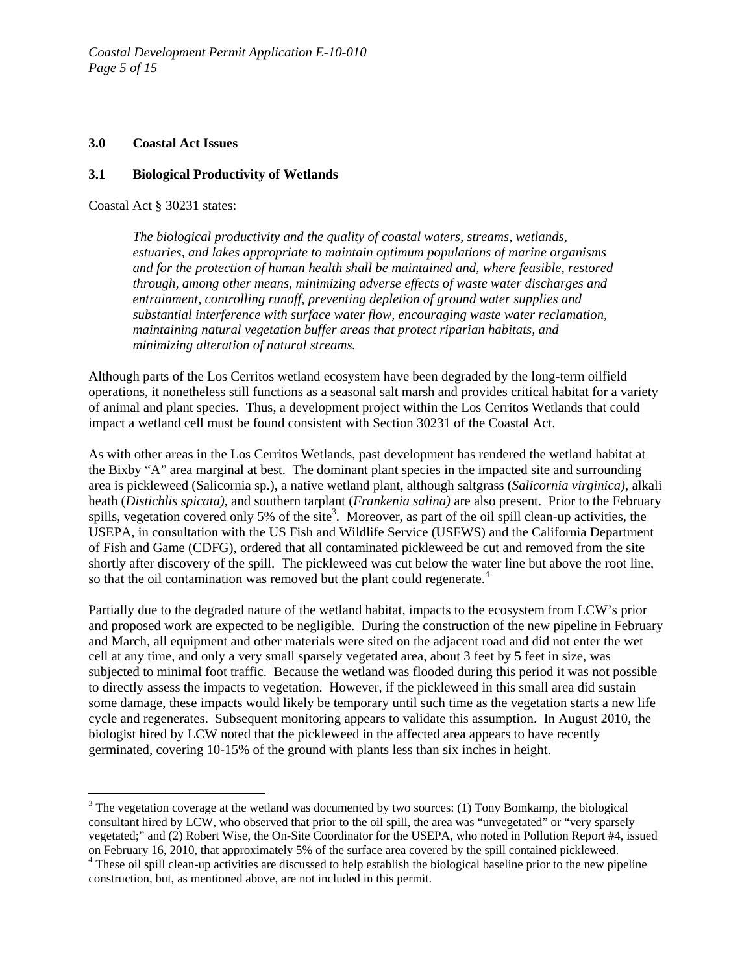*Coastal Development Permit Application E-10-010 Page 5 of 15*

#### **3.0 Coastal Act Issues**

#### **3.1 Biological Productivity of Wetlands**

Coastal Act § 30231 states:

<u>.</u>

*The biological productivity and the quality of coastal waters, streams, wetlands, estuaries, and lakes appropriate to maintain optimum populations of marine organisms and for the protection of human health shall be maintained and, where feasible, restored through, among other means, minimizing adverse effects of waste water discharges and entrainment, controlling runoff, preventing depletion of ground water supplies and substantial interference with surface water flow, encouraging waste water reclamation, maintaining natural vegetation buffer areas that protect riparian habitats, and minimizing alteration of natural streams.* 

Although parts of the Los Cerritos wetland ecosystem have been degraded by the long-term oilfield operations, it nonetheless still functions as a seasonal salt marsh and provides critical habitat for a variety of animal and plant species. Thus, a development project within the Los Cerritos Wetlands that could impact a wetland cell must be found consistent with Section 30231 of the Coastal Act.

As with other areas in the Los Cerritos Wetlands, past development has rendered the wetland habitat at the Bixby "A" area marginal at best. The dominant plant species in the impacted site and surrounding area is pickleweed (Salicornia sp.), a native wetland plant, although saltgrass (*Salicornia virginica)*, alkali heath (*Distichlis spicata)*, and southern tarplant (*Frankenia salina)* are also present. Prior to the February spills, vegetation covered only 5% of the site<sup>3</sup>. Moreover, as part of the oil spill clean-up activities, the USEPA, in consultation with the US Fish and Wildlife Service (USFWS) and the California Department of Fish and Game (CDFG), ordered that all contaminated pickleweed be cut and removed from the site shortly after discovery of the spill. The pickleweed was cut below the water line but above the root line, sothat the oil contamination was removed but the plant could regenerate.<sup>4</sup>

Partially due to the degraded nature of the wetland habitat, impacts to the ecosystem from LCW's prior and proposed work are expected to be negligible. During the construction of the new pipeline in February and March, all equipment and other materials were sited on the adjacent road and did not enter the wet cell at any time, and only a very small sparsely vegetated area, about 3 feet by 5 feet in size, was subjected to minimal foot traffic. Because the wetland was flooded during this period it was not possible to directly assess the impacts to vegetation. However, if the pickleweed in this small area did sustain some damage, these impacts would likely be temporary until such time as the vegetation starts a new life cycle and regenerates. Subsequent monitoring appears to validate this assumption. In August 2010, the biologist hired by LCW noted that the pickleweed in the affected area appears to have recently germinated, covering 10-15% of the ground with plants less than six inches in height.

<span id="page-4-0"></span> $3$  The vegetation coverage at the wetland was documented by two sources: (1) Tony Bomkamp, the biological consultant hired by LCW, who observed that prior to the oil spill, the area was "unvegetated" or "very sparsely vegetated;" and (2) Robert Wise, the On-Site Coordinator for the USEPA, who noted in Pollution Report #4, issued on February 16, 2010, that approximately 5% of the surface area covered by the spill contained pickleweed. 4

<span id="page-4-1"></span><sup>&</sup>lt;sup>4</sup> These oil spill clean-up activities are discussed to help establish the biological baseline prior to the new pipeline construction, but, as mentioned above, are not included in this permit.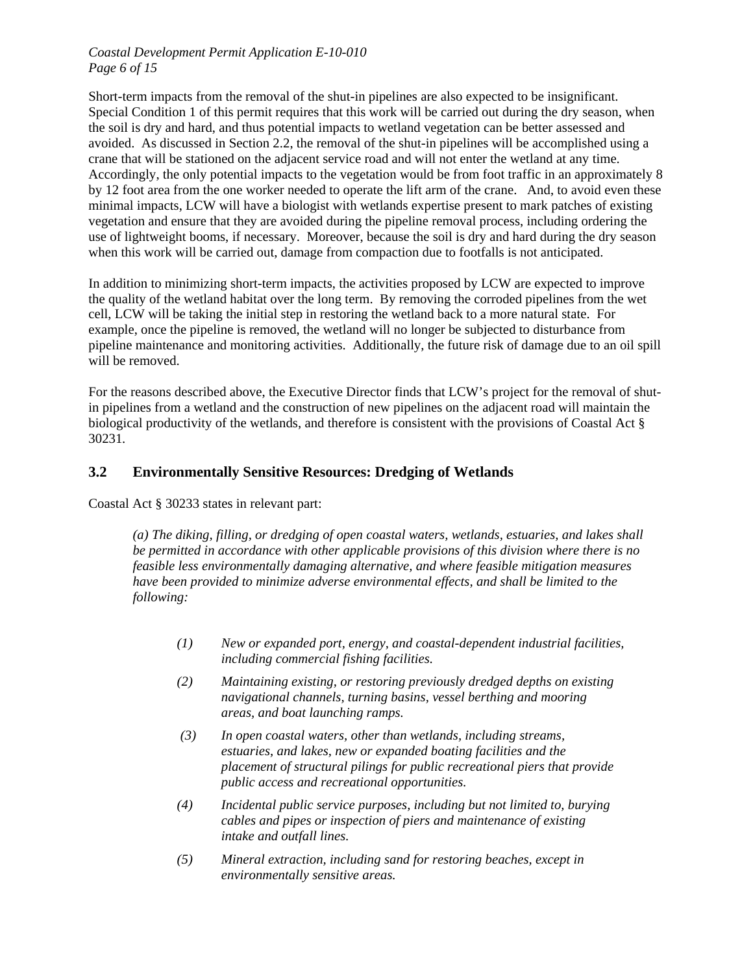#### *Coastal Development Permit Application E-10-010 Page 6 of 15*

Short-term impacts from the removal of the shut-in pipelines are also expected to be insignificant. Special Condition 1 of this permit requires that this work will be carried out during the dry season, when the soil is dry and hard, and thus potential impacts to wetland vegetation can be better assessed and avoided. As discussed in Section 2.2, the removal of the shut-in pipelines will be accomplished using a crane that will be stationed on the adjacent service road and will not enter the wetland at any time. Accordingly, the only potential impacts to the vegetation would be from foot traffic in an approximately 8 by 12 foot area from the one worker needed to operate the lift arm of the crane. And, to avoid even these minimal impacts, LCW will have a biologist with wetlands expertise present to mark patches of existing vegetation and ensure that they are avoided during the pipeline removal process, including ordering the use of lightweight booms, if necessary. Moreover, because the soil is dry and hard during the dry season when this work will be carried out, damage from compaction due to footfalls is not anticipated.

In addition to minimizing short-term impacts, the activities proposed by LCW are expected to improve the quality of the wetland habitat over the long term. By removing the corroded pipelines from the wet cell, LCW will be taking the initial step in restoring the wetland back to a more natural state. For example, once the pipeline is removed, the wetland will no longer be subjected to disturbance from pipeline maintenance and monitoring activities. Additionally, the future risk of damage due to an oil spill will be removed.

For the reasons described above, the Executive Director finds that LCW's project for the removal of shutin pipelines from a wetland and the construction of new pipelines on the adjacent road will maintain the biological productivity of the wetlands, and therefore is consistent with the provisions of Coastal Act § 30231*.* 

## **3.2 Environmentally Sensitive Resources: Dredging of Wetlands**

Coastal Act § 30233 states in relevant part:

*(a) The diking, filling, or dredging of open coastal waters, wetlands, estuaries, and lakes shall be permitted in accordance with other applicable provisions of this division where there is no feasible less environmentally damaging alternative, and where feasible mitigation measures have been provided to minimize adverse environmental effects, and shall be limited to the following:* 

- *(1) New or expanded port, energy, and coastal-dependent industrial facilities, including commercial fishing facilities.*
- *(2) Maintaining existing, or restoring previously dredged depths on existing navigational channels, turning basins, vessel berthing and mooring areas, and boat launching ramps.*
- *(3) In open coastal waters, other than wetlands, including streams, estuaries, and lakes, new or expanded boating facilities and the placement of structural pilings for public recreational piers that provide public access and recreational opportunities.*
- *(4) Incidental public service purposes, including but not limited to, burying cables and pipes or inspection of piers and maintenance of existing intake and outfall lines.*
- *(5) Mineral extraction, including sand for restoring beaches, except in environmentally sensitive areas.*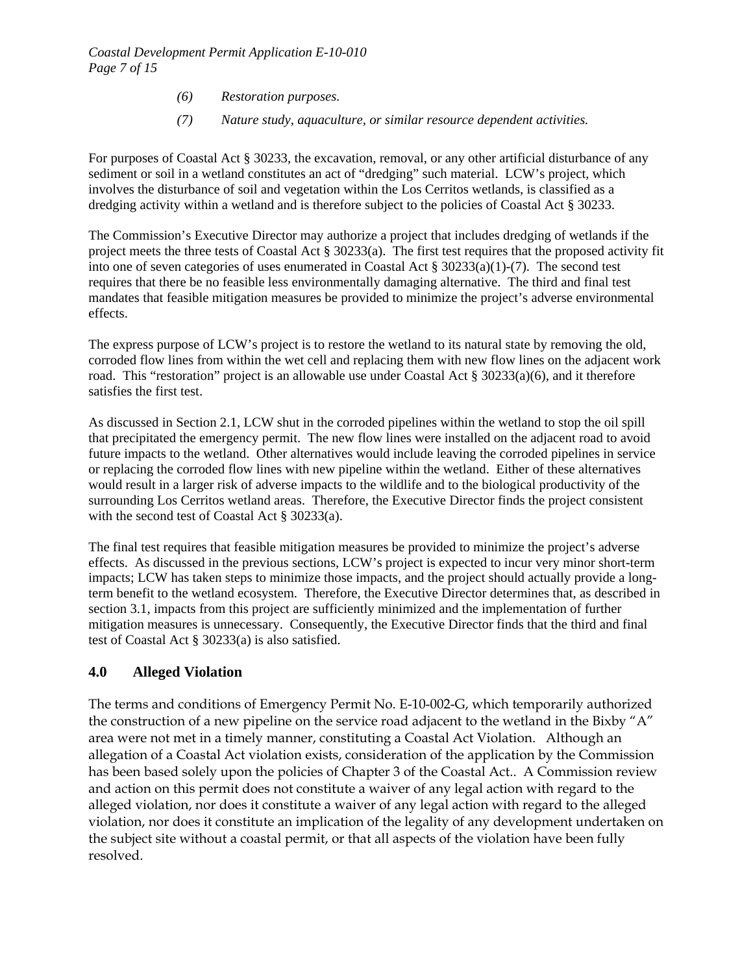- *(6) Restoration purposes.*
- *(7) Nature study, aquaculture, or similar resource dependent activities.*

For purposes of Coastal Act § 30233, the excavation, removal, or any other artificial disturbance of any sediment or soil in a wetland constitutes an act of "dredging" such material. LCW's project, which involves the disturbance of soil and vegetation within the Los Cerritos wetlands, is classified as a dredging activity within a wetland and is therefore subject to the policies of Coastal Act § 30233.

The Commission's Executive Director may authorize a project that includes dredging of wetlands if the project meets the three tests of Coastal Act § 30233(a). The first test requires that the proposed activity fit into one of seven categories of uses enumerated in Coastal Act § 30233(a)(1)-(7). The second test requires that there be no feasible less environmentally damaging alternative. The third and final test mandates that feasible mitigation measures be provided to minimize the project's adverse environmental effects.

The express purpose of LCW's project is to restore the wetland to its natural state by removing the old, corroded flow lines from within the wet cell and replacing them with new flow lines on the adjacent work road. This "restoration" project is an allowable use under Coastal Act § 30233(a)(6), and it therefore satisfies the first test.

As discussed in Section 2.1, LCW shut in the corroded pipelines within the wetland to stop the oil spill that precipitated the emergency permit. The new flow lines were installed on the adjacent road to avoid future impacts to the wetland. Other alternatives would include leaving the corroded pipelines in service or replacing the corroded flow lines with new pipeline within the wetland. Either of these alternatives would result in a larger risk of adverse impacts to the wildlife and to the biological productivity of the surrounding Los Cerritos wetland areas. Therefore, the Executive Director finds the project consistent with the second test of Coastal Act § 30233(a).

The final test requires that feasible mitigation measures be provided to minimize the project's adverse effects. As discussed in the previous sections, LCW's project is expected to incur very minor short-term impacts; LCW has taken steps to minimize those impacts, and the project should actually provide a longterm benefit to the wetland ecosystem. Therefore, the Executive Director determines that, as described in section 3.1, impacts from this project are sufficiently minimized and the implementation of further mitigation measures is unnecessary. Consequently, the Executive Director finds that the third and final test of Coastal Act § 30233(a) is also satisfied.

## **4.0 Alleged Violation**

The terms and conditions of Emergency Permit No. E-10-002-G, which temporarily authorized the construction of a new pipeline on the service road adjacent to the wetland in the Bixby "A" area were not met in a timely manner, constituting a Coastal Act Violation. Although an allegation of a Coastal Act violation exists, consideration of the application by the Commission has been based solely upon the policies of Chapter 3 of the Coastal Act.. A Commission review and action on this permit does not constitute a waiver of any legal action with regard to the alleged violation, nor does it constitute a waiver of any legal action with regard to the alleged violation, nor does it constitute an implication of the legality of any development undertaken on the subject site without a coastal permit, or that all aspects of the violation have been fully resolved.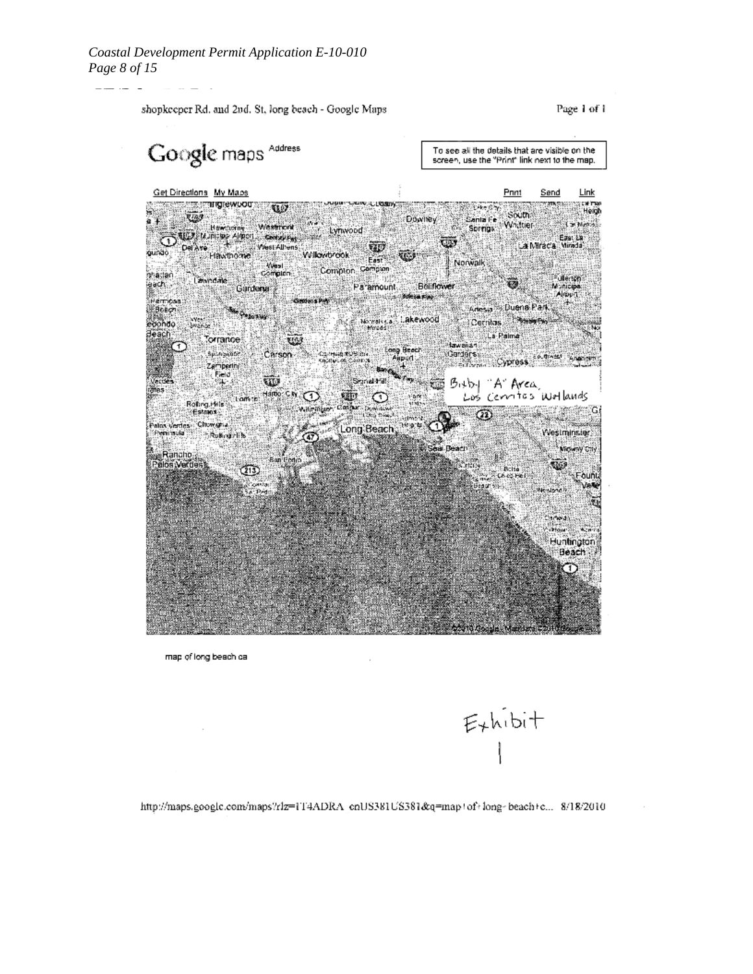

map of long beach ca



http://maps.google.com/maps?rlz=1T4ADRA\_cnUS381US381&q=map+of+long-beach+c... 8/18/2010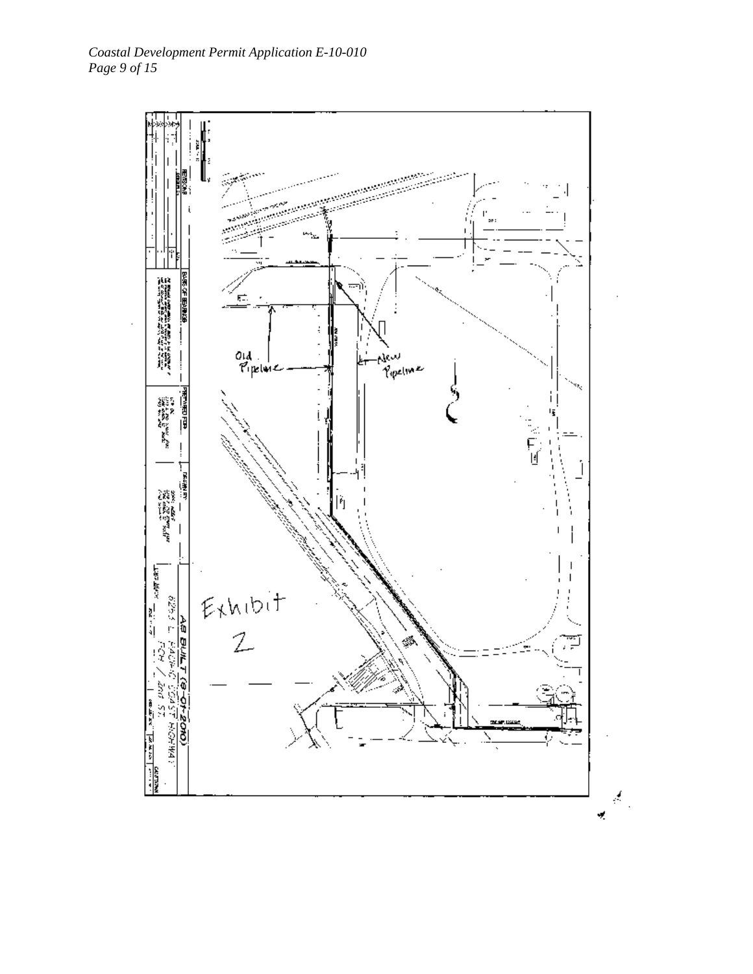

ķ, ¥,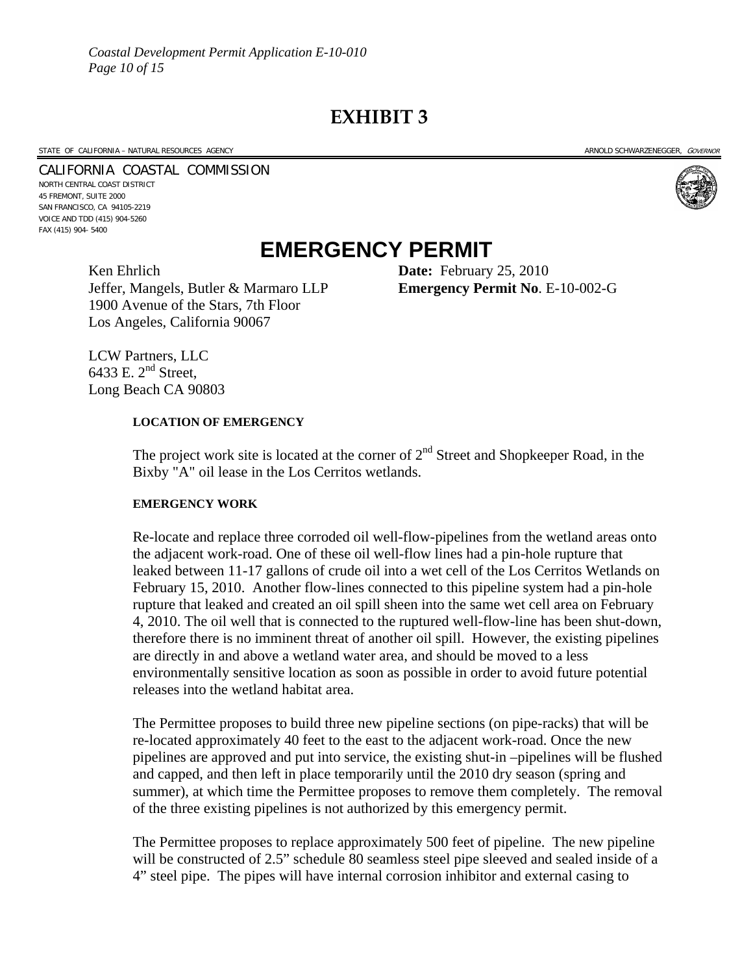**EXHIBIT 3** 

#### STATE OF CALIFORNIA – NATURAL RESOURCES AGENCY ARNOLD SCHWARZENEGGER, GOVERNOR

# CALIFORNIA COASTAL COMMISSION NORTH CENTRAL COAST DISTRICT

45 FREMONT, SUITE 2000 SAN FRANCISCO, CA 94105-2219 VOICE AND TDD (415) 904-5260 FAX (415) 904- 5400



# **EMERGENCY PERMIT**

Jeffer, Mangels, Butler & Marmaro LLP **Emergency Permit No**. E-10-002-G 1900 Avenue of the Stars, 7th Floor Los Angeles, California 90067

Ken Ehrlich **Date:** February 25, 2010

LCW Partners, LLC 6433 E.  $2<sup>nd</sup>$  Street, Long Beach CA 90803

#### **LOCATION OF EMERGENCY**

The project work site is located at the corner of  $2<sup>nd</sup>$  Street and Shopkeeper Road, in the Bixby "A" oil lease in the Los Cerritos wetlands.

#### **EMERGENCY WORK**

Re-locate and replace three corroded oil well-flow-pipelines from the wetland areas onto the adjacent work-road. One of these oil well-flow lines had a pin-hole rupture that leaked between 11-17 gallons of crude oil into a wet cell of the Los Cerritos Wetlands on February 15, 2010. Another flow-lines connected to this pipeline system had a pin-hole rupture that leaked and created an oil spill sheen into the same wet cell area on February 4, 2010. The oil well that is connected to the ruptured well-flow-line has been shut-down, therefore there is no imminent threat of another oil spill. However, the existing pipelines are directly in and above a wetland water area, and should be moved to a less environmentally sensitive location as soon as possible in order to avoid future potential releases into the wetland habitat area.

The Permittee proposes to build three new pipeline sections (on pipe-racks) that will be re-located approximately 40 feet to the east to the adjacent work-road. Once the new pipelines are approved and put into service, the existing shut-in –pipelines will be flushed and capped, and then left in place temporarily until the 2010 dry season (spring and summer), at which time the Permittee proposes to remove them completely. The removal of the three existing pipelines is not authorized by this emergency permit.

The Permittee proposes to replace approximately 500 feet of pipeline. The new pipeline will be constructed of 2.5" schedule 80 seamless steel pipe sleeved and sealed inside of a 4" steel pipe. The pipes will have internal corrosion inhibitor and external casing to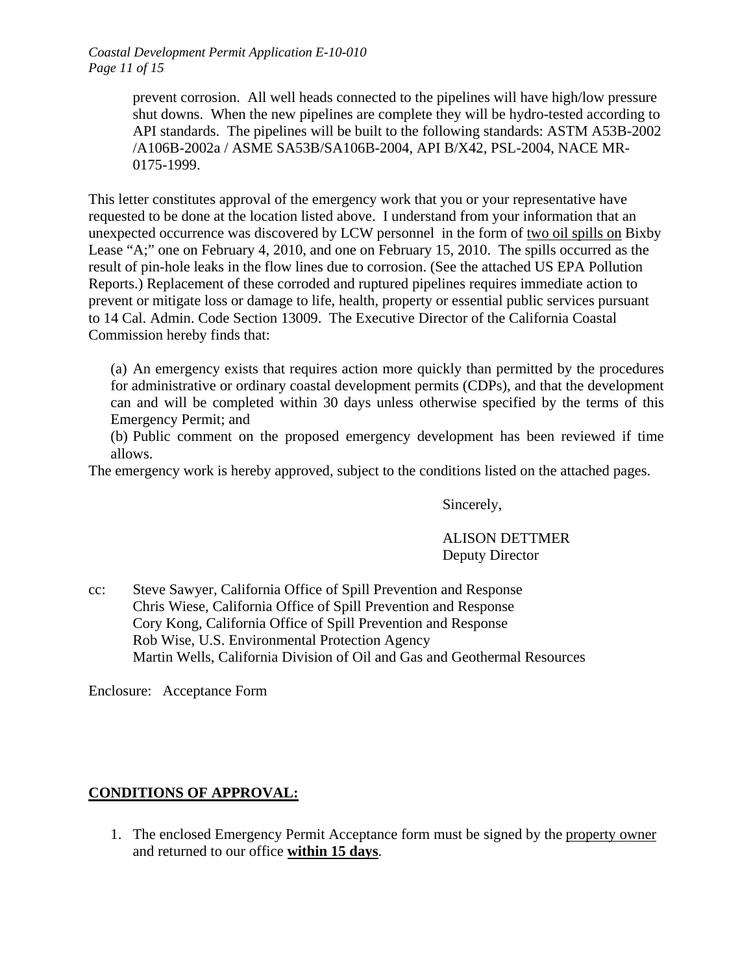*Coastal Development Permit Application E-10-010 Page 11 of 15*

> prevent corrosion. All well heads connected to the pipelines will have high/low pressure shut downs. When the new pipelines are complete they will be hydro-tested according to API standards. The pipelines will be built to the following standards: ASTM A53B-2002 /A106B-2002a / ASME SA53B/SA106B-2004, API B/X42, PSL-2004, NACE MR-0175-1999.

This letter constitutes approval of the emergency work that you or your representative have requested to be done at the location listed above. I understand from your information that an unexpected occurrence was discovered by LCW personnel in the form of two oil spills on Bixby Lease "A;" one on February 4, 2010, and one on February 15, 2010. The spills occurred as the result of pin-hole leaks in the flow lines due to corrosion. (See the attached US EPA Pollution Reports.) Replacement of these corroded and ruptured pipelines requires immediate action to prevent or mitigate loss or damage to life, health, property or essential public services pursuant to 14 Cal. Admin. Code Section 13009. The Executive Director of the California Coastal Commission hereby finds that:

(a) An emergency exists that requires action more quickly than permitted by the procedures for administrative or ordinary coastal development permits (CDPs), and that the development can and will be completed within 30 days unless otherwise specified by the terms of this Emergency Permit; and

(b) Public comment on the proposed emergency development has been reviewed if time allows.

The emergency work is hereby approved, subject to the conditions listed on the attached pages.

Sincerely,

## ALISON DETTMER Deputy Director

cc: Steve Sawyer, California Office of Spill Prevention and Response Chris Wiese, California Office of Spill Prevention and Response Cory Kong, California Office of Spill Prevention and Response Rob Wise, U.S. Environmental Protection Agency Martin Wells, California Division of Oil and Gas and Geothermal Resources

Enclosure: Acceptance Form

## **CONDITIONS OF APPROVAL:**

1. The enclosed Emergency Permit Acceptance form must be signed by the property owner and returned to our office **within 15 days**.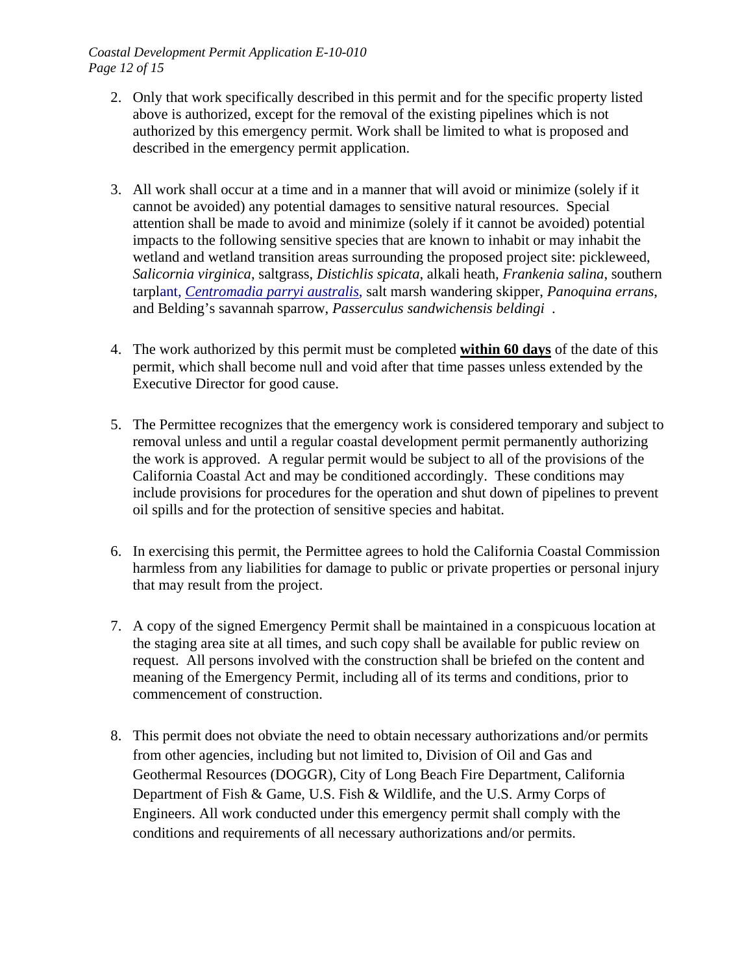*Coastal Development Permit Application E-10-010 Page 12 of 15*

- 2. Only that work specifically described in this permit and for the specific property listed above is authorized, except for the removal of the existing pipelines which is not authorized by this emergency permit. Work shall be limited to what is proposed and described in the emergency permit application.
- 3. All work shall occur at a time and in a manner that will avoid or minimize (solely if it cannot be avoided) any potential damages to sensitive natural resources. Special attention shall be made to avoid and minimize (solely if it cannot be avoided) potential impacts to the following sensitive species that are known to inhabit or may inhabit the wetland and wetland transition areas surrounding the proposed project site: pickleweed, *Salicornia virginica*, saltgrass, *Distichlis spicata*, alkali heath, *Frankenia salina*, southern tarplant, *[Centromadia parryi australis](http://www.google.com/search?hl=en&ei=auiGS5a1E4KEtAOCw-3gBw&sa=X&oi=spellfullpage&resnum=0&ct=result&cd=2&ved=0CAYQvwUoAQ&&q=Centromadia+parryi+australis&spell=1)*, salt marsh wandering skipper, *Panoquina errans*, and Belding's savannah sparrow, *Passerculus sandwichensis beldingi* .
- 4. The work authorized by this permit must be completed **within 60 days** of the date of this permit, which shall become null and void after that time passes unless extended by the Executive Director for good cause.
- 5. The Permittee recognizes that the emergency work is considered temporary and subject to removal unless and until a regular coastal development permit permanently authorizing the work is approved. A regular permit would be subject to all of the provisions of the California Coastal Act and may be conditioned accordingly. These conditions may include provisions for procedures for the operation and shut down of pipelines to prevent oil spills and for the protection of sensitive species and habitat.
- 6. In exercising this permit, the Permittee agrees to hold the California Coastal Commission harmless from any liabilities for damage to public or private properties or personal injury that may result from the project.
- 7. A copy of the signed Emergency Permit shall be maintained in a conspicuous location at the staging area site at all times, and such copy shall be available for public review on request. All persons involved with the construction shall be briefed on the content and meaning of the Emergency Permit, including all of its terms and conditions, prior to commencement of construction.
- 8. This permit does not obviate the need to obtain necessary authorizations and/or permits from other agencies, including but not limited to, Division of Oil and Gas and Geothermal Resources (DOGGR), City of Long Beach Fire Department, California Department of Fish & Game, U.S. Fish & Wildlife, and the U.S. Army Corps of Engineers. All work conducted under this emergency permit shall comply with the conditions and requirements of all necessary authorizations and/or permits.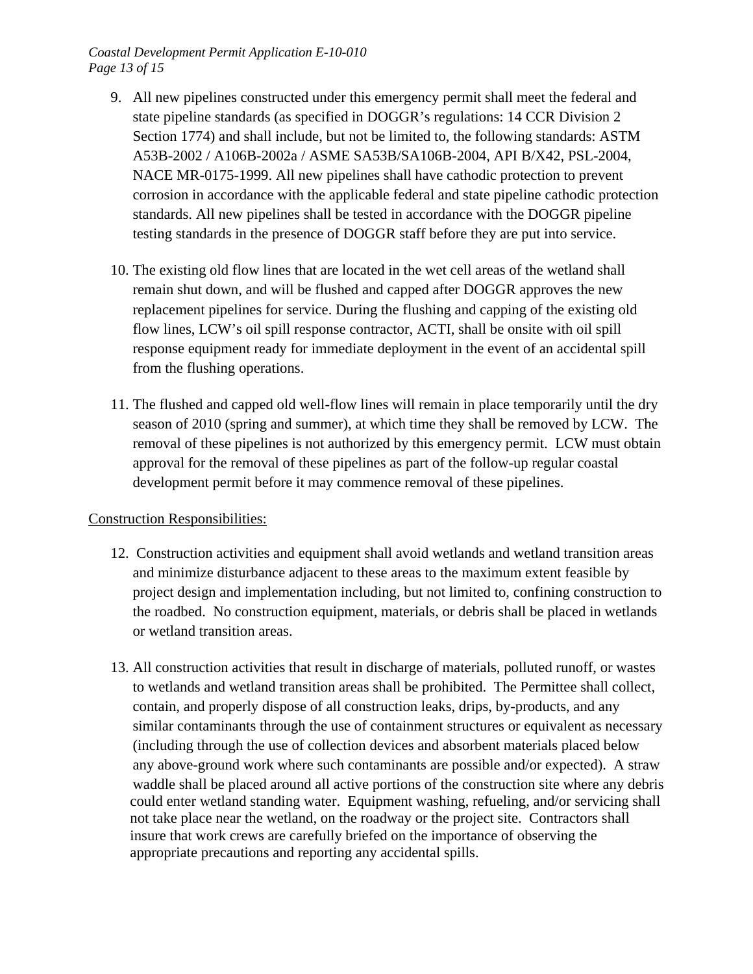- 9. All new pipelines constructed under this emergency permit shall meet the federal and state pipeline standards (as specified in DOGGR's regulations: 14 CCR Division 2 Section 1774) and shall include, but not be limited to, the following standards: ASTM A53B-2002 / A106B-2002a / ASME SA53B/SA106B-2004, API B/X42, PSL-2004, NACE MR-0175-1999. All new pipelines shall have cathodic protection to prevent corrosion in accordance with the applicable federal and state pipeline cathodic protection standards. All new pipelines shall be tested in accordance with the DOGGR pipeline testing standards in the presence of DOGGR staff before they are put into service.
- 10. The existing old flow lines that are located in the wet cell areas of the wetland shall remain shut down, and will be flushed and capped after DOGGR approves the new replacement pipelines for service. During the flushing and capping of the existing old flow lines, LCW's oil spill response contractor, ACTI, shall be onsite with oil spill response equipment ready for immediate deployment in the event of an accidental spill from the flushing operations.
- 11. The flushed and capped old well-flow lines will remain in place temporarily until the dry season of 2010 (spring and summer), at which time they shall be removed by LCW. The removal of these pipelines is not authorized by this emergency permit. LCW must obtain approval for the removal of these pipelines as part of the follow-up regular coastal development permit before it may commence removal of these pipelines.

## Construction Responsibilities:

- 12. Construction activities and equipment shall avoid wetlands and wetland transition areas and minimize disturbance adjacent to these areas to the maximum extent feasible by project design and implementation including, but not limited to, confining construction to the roadbed. No construction equipment, materials, or debris shall be placed in wetlands or wetland transition areas.
- 13. All construction activities that result in discharge of materials, polluted runoff, or wastes to wetlands and wetland transition areas shall be prohibited. The Permittee shall collect, contain, and properly dispose of all construction leaks, drips, by-products, and any similar contaminants through the use of containment structures or equivalent as necessary (including through the use of collection devices and absorbent materials placed below any above-ground work where such contaminants are possible and/or expected). A straw waddle shall be placed around all active portions of the construction site where any debris could enter wetland standing water. Equipment washing, refueling, and/or servicing shall not take place near the wetland, on the roadway or the project site. Contractors shall insure that work crews are carefully briefed on the importance of observing the appropriate precautions and reporting any accidental spills.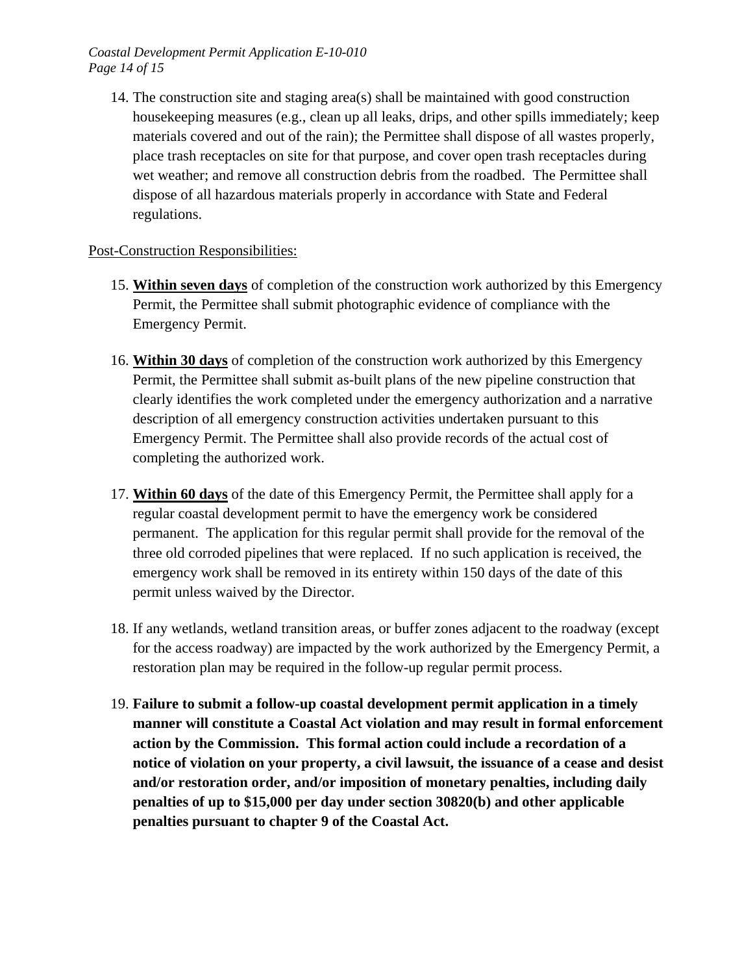14. The construction site and staging area(s) shall be maintained with good construction housekeeping measures (e.g., clean up all leaks, drips, and other spills immediately; keep materials covered and out of the rain); the Permittee shall dispose of all wastes properly, place trash receptacles on site for that purpose, and cover open trash receptacles during wet weather; and remove all construction debris from the roadbed. The Permittee shall dispose of all hazardous materials properly in accordance with State and Federal regulations.

## Post-Construction Responsibilities:

- 15. **Within seven days** of completion of the construction work authorized by this Emergency Permit, the Permittee shall submit photographic evidence of compliance with the Emergency Permit.
- 16. **Within 30 days** of completion of the construction work authorized by this Emergency Permit, the Permittee shall submit as-built plans of the new pipeline construction that clearly identifies the work completed under the emergency authorization and a narrative description of all emergency construction activities undertaken pursuant to this Emergency Permit. The Permittee shall also provide records of the actual cost of completing the authorized work.
- 17. **Within 60 days** of the date of this Emergency Permit, the Permittee shall apply for a regular coastal development permit to have the emergency work be considered permanent. The application for this regular permit shall provide for the removal of the three old corroded pipelines that were replaced. If no such application is received, the emergency work shall be removed in its entirety within 150 days of the date of this permit unless waived by the Director.
- 18. If any wetlands, wetland transition areas, or buffer zones adjacent to the roadway (except for the access roadway) are impacted by the work authorized by the Emergency Permit, a restoration plan may be required in the follow-up regular permit process.
- 19. **Failure to submit a follow-up coastal development permit application in a timely manner will constitute a Coastal Act violation and may result in formal enforcement action by the Commission. This formal action could include a recordation of a notice of violation on your property, a civil lawsuit, the issuance of a cease and desist and/or restoration order, and/or imposition of monetary penalties, including daily penalties of up to \$15,000 per day under section 30820(b) and other applicable penalties pursuant to chapter 9 of the Coastal Act.**